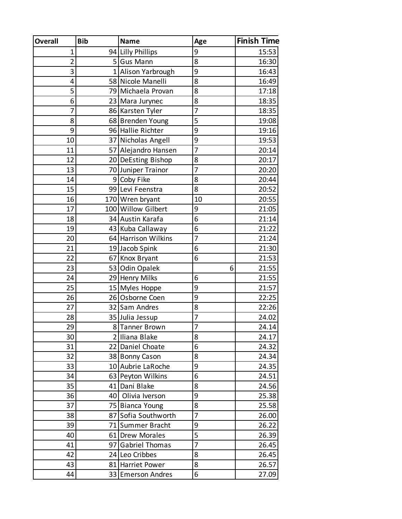| <b>Overall</b> | <b>Bib</b> | <b>Name</b>         | Age | <b>Finish Time</b> |
|----------------|------------|---------------------|-----|--------------------|
| 1              |            | 94 Lilly Phillips   | 9   | 15:53              |
| $\overline{2}$ |            | 5 Gus Mann          | 8   | 16:30              |
| 3              |            | 1 Alison Yarbrough  | 9   | 16:43              |
| 4              |            | 58 Nicole Manelli   | 8   | 16:49              |
| 5              |            | 79 Michaela Provan  | 8   | 17:18              |
| 6              |            | 23 Mara Jurynec     | 8   | 18:35              |
| 7              |            | 86 Karsten Tyler    | 7   | 18:35              |
| 8              |            | 68 Brenden Young    | 5   | 19:08              |
| 9              |            | 96 Hallie Richter   | 9   | 19:16              |
| 10             |            | 37 Nicholas Angell  | 9   | 19:53              |
| 11             |            | 57 Alejandro Hansen | 7   | 20:14              |
| 12             |            | 20 DeEsting Bishop  | 8   | 20:17              |
| 13             |            | 70 Juniper Trainor  | 7   | 20:20              |
| 14             |            | 9 Coby Fike         | 8   | 20:44              |
| 15             |            | 99 Levi Feenstra    | 8   | 20:52              |
| 16             |            | 170 Wren bryant     | 10  | 20:55              |
| 17             |            | 100 Willow Gilbert  | 9   | 21:05              |
| 18             |            | 34 Austin Karafa    | 6   | 21:14              |
| 19             |            | 43 Kuba Callaway    | 6   | 21:22              |
| 20             |            | 64 Harrison Wilkins | 7   | 21:24              |
| 21             |            | 19 Jacob Spink      | 6   | 21:30              |
| 22             |            | 67 Knox Bryant      | 6   | 21:53              |
| 23             |            | 53 Odin Opalek      | 6   | 21:55              |
| 24             |            | 29 Henry Milks      | 6   | 21:55              |
| 25             |            | 15 Myles Hoppe      | 9   | 21:57              |
| 26             |            | 26 Osborne Coen     | 9   | 22:25              |
| 27             |            | 32 Sam Andres       | 8   | 22:26              |
| 28             |            | 35 Julia Jessup     | 7   | 24.02              |
| 29             |            | 8 Tanner Brown      | 7   | 24.14              |
| 30             |            | 2 Iliana Blake      | 8   | 24.17              |
| 31             |            | 22 Daniel Choate    | 6   | 24.32              |
| 32             |            | 38 Bonny Cason      | 8   | 24.34              |
| 33             |            | 10 Aubrie LaRoche   | 9   | 24.35              |
| 34             |            | 63 Peyton Wilkins   | 6   | 24.51              |
| 35             |            | 41 Dani Blake       | 8   | 24.56              |
| 36             |            | 40 Olivia Iverson   | 9   | 25.38              |
| 37             |            | 75 Bianca Young     | 8   | 25.58              |
| 38             |            | 87 Sofia Southworth | 7   | 26.00              |
| 39             |            | 71 Summer Bracht    | 9   | 26.22              |
| 40             |            | 61 Drew Morales     | 5   | 26.39              |
| 41             |            | 97 Gabriel Thomas   | 7   | 26.45              |
| 42             |            | 24 Leo Cribbes      | 8   | 26.45              |
| 43             |            | 81 Harriet Power    | 8   | 26.57              |
| 44             |            | 33 Emerson Andres   | 6   | 27.09              |